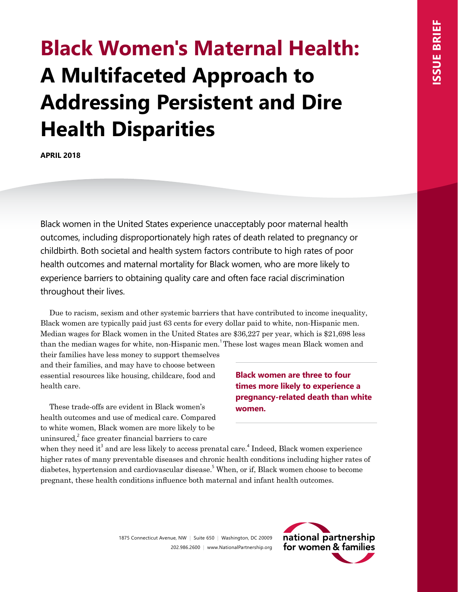# **Black Women's Maternal Health: A Multifaceted Approach to Addressing Persistent and Dire Health Disparities**

**APRIL 2018**

Black women in the United States experience unacceptably poor maternal health outcomes, including disproportionately high rates of death related to pregnancy or childbirth. Both societal and health system factors contribute to high rates of poor health outcomes and maternal mortality for Black women, who are more likely to experience barriers to obtaining quality care and often face racial discrimination throughout their lives.

Due to racism, sexism and other systemic barriers that have contributed to income inequality, Black women are typically paid just 63 cents for every dollar paid to white, non-Hispanic men. Median wages for Black women in the United States are \$36,227 per year, which is \$21,698 less than the median wages for white, non-Hispanic men.<sup>1</sup>These lost wages mean Black women and

their families have less money to support themselves and their families, and may have to choose between essential resources like housing, childcare, food and health care.

These trade-offs are evident in Black women's health outcomes and use of medical care. Compared to white women, Black women are more likely to be uninsured,<sup>2</sup> face greater financial barriers to care

**Black women are three to four times more likely to experience a pregnancy-related death than white women.**

when they need it<sup>3</sup> and are less likely to access prenatal care.<sup>4</sup> Indeed, Black women experience higher rates of many preventable diseases and chronic health conditions including higher rates of diabetes, hypertension and cardiovascular disease.<sup>5</sup> When, or if, Black women choose to become pregnant, these health conditions influence both maternal and infant health outcomes.

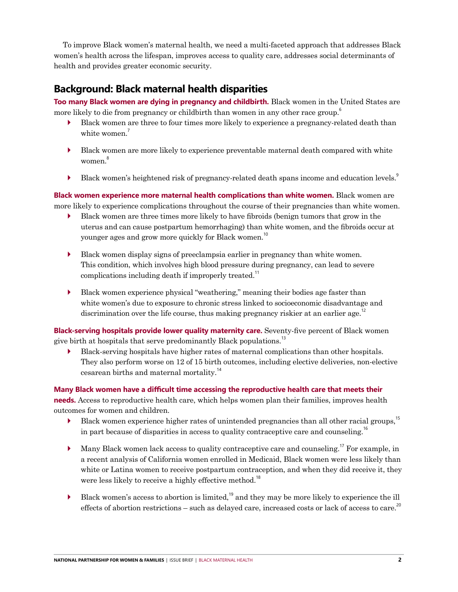To improve Black women's maternal health, we need a multi-faceted approach that addresses Black women's health across the lifespan, improves access to quality care, addresses social determinants of health and provides greater economic security.

# **Background: Black maternal health disparities**

**Too many Black women are dying in pregnancy and childbirth.** Black women in the United States are more likely to die from pregnancy or childbirth than women in any other race group.<sup>6</sup>

- ` Black women are three to four times more likely to experience a pregnancy-related death than white women.<sup>7</sup>
- ` Black women are more likely to experience preventable maternal death compared with white women.<sup>8</sup>
- $\blacktriangleright$  Black women's heightened risk of pregnancy-related death spans income and education levels.<sup>9</sup>

**Black women experience more maternal health complications than white women.** Black women are more likely to experience complications throughout the course of their pregnancies than white women.

- ` Black women are three times more likely to have fibroids (benign tumors that grow in the uterus and can cause postpartum hemorrhaging) than white women, and the fibroids occur at younger ages and grow more quickly for Black women.<sup>10</sup>
- $\blacktriangleright$  Black women display signs of preeclampsia earlier in pregnancy than white women. This condition, which involves high blood pressure during pregnancy, can lead to severe complications including death if improperly treated.<sup>11</sup>
- $\blacktriangleright$  Black women experience physical "weathering," meaning their bodies age faster than white women's due to exposure to chronic stress linked to socioeconomic disadvantage and discrimination over the life course, thus making pregnancy riskier at an earlier age.<sup>12</sup>

**Black-serving hospitals provide lower quality maternity care.** Seventy-five percent of Black women give birth at hospitals that serve predominantly Black populations.<sup>13</sup>

` Black-serving hospitals have higher rates of maternal complications than other hospitals. They also perform worse on 12 of 15 birth outcomes, including elective deliveries, non-elective cesarean births and maternal mortality.<sup>14</sup>

**Many Black women have a difficult time accessing the reproductive health care that meets their needs.** Access to reproductive health care, which helps women plan their families, improves health outcomes for women and children.

- Black women experience higher rates of unintended pregnancies than all other racial groups,<sup>15</sup> in part because of disparities in access to quality contraceptive care and counseling.<sup>16</sup>
- $\blacktriangleright$  Many Black women lack access to quality contraceptive care and counseling.<sup>17</sup> For example, in a recent analysis of California women enrolled in Medicaid, Black women were less likely than white or Latina women to receive postpartum contraception, and when they did receive it, they were less likely to receive a highly effective method.<sup>18</sup>
- $\blacktriangleright$  Black women's access to abortion is limited,<sup>19</sup> and they may be more likely to experience the ill effects of abortion restrictions – such as delayed care, increased costs or lack of access to care.<sup>20</sup>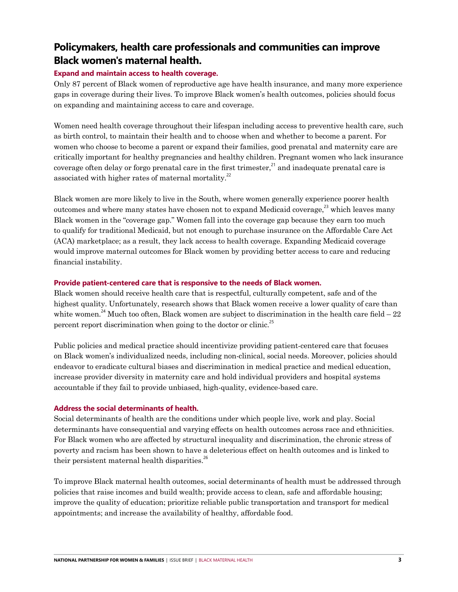# **Policymakers, health care professionals and communities can improve Black women's maternal health.**

#### **Expand and maintain access to health coverage.**

Only 87 percent of Black women of reproductive age have health insurance, and many more experience gaps in coverage during their lives. To improve Black women's health outcomes, policies should focus on expanding and maintaining access to care and coverage.

Women need health coverage throughout their lifespan including access to preventive health care, such as birth control, to maintain their health and to choose when and whether to become a parent. For women who choose to become a parent or expand their families, good prenatal and maternity care are critically important for healthy pregnancies and healthy children. Pregnant women who lack insurance coverage often delay or forgo prenatal care in the first trimester, $^{21}$  and inadequate prenatal care is associated with higher rates of maternal mortality. $^{22}$ 

Black women are more likely to live in the South, where women generally experience poorer health outcomes and where many states have chosen not to expand Medicaid coverage.<sup>23</sup> which leaves many Black women in the "coverage gap." Women fall into the coverage gap because they earn too much to qualify for traditional Medicaid, but not enough to purchase insurance on the Affordable Care Act (ACA) marketplace; as a result, they lack access to health coverage. Expanding Medicaid coverage would improve maternal outcomes for Black women by providing better access to care and reducing financial instability.

#### **Provide patient-centered care that is responsive to the needs of Black women.**

Black women should receive health care that is respectful, culturally competent, safe and of the highest quality. Unfortunately, research shows that Black women receive a lower quality of care than white women.<sup>24</sup> Much too often, Black women are subject to discrimination in the health care field  $-22$ percent report discrimination when going to the doctor or clinic.<sup>25</sup>

Public policies and medical practice should incentivize providing patient-centered care that focuses on Black women's individualized needs, including non-clinical, social needs. Moreover, policies should endeavor to eradicate cultural biases and discrimination in medical practice and medical education, increase provider diversity in maternity care and hold individual providers and hospital systems accountable if they fail to provide unbiased, high-quality, evidence-based care.

#### **Address the social determinants of health.**

Social determinants of health are the conditions under which people live, work and play. Social determinants have consequential and varying effects on health outcomes across race and ethnicities. For Black women who are affected by structural inequality and discrimination, the chronic stress of poverty and racism has been shown to have a deleterious effect on health outcomes and is linked to their persistent maternal health disparities. $^{26}$ 

To improve Black maternal health outcomes, social determinants of health must be addressed through policies that raise incomes and build wealth; provide access to clean, safe and affordable housing; improve the quality of education; prioritize reliable public transportation and transport for medical appointments; and increase the availability of healthy, affordable food.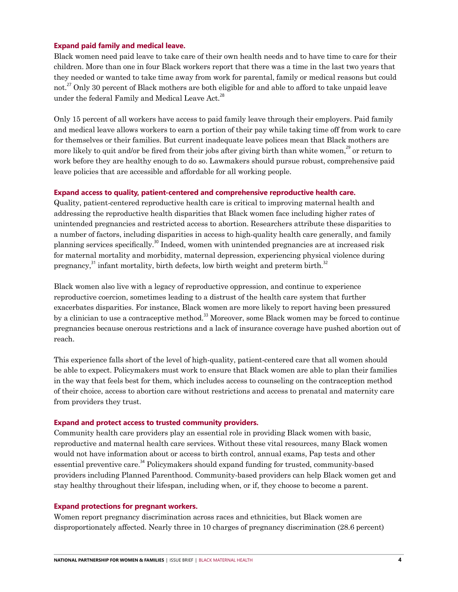#### **Expand paid family and medical leave.**

Black women need paid leave to take care of their own health needs and to have time to care for their children. More than one in four Black workers report that there was a time in the last two years that they needed or wanted to take time away from work for parental, family or medical reasons but could not.<sup>27</sup> Only 30 percent of Black mothers are both eligible for and able to afford to take unpaid leave under the federal Family and Medical Leave Act.<sup>28</sup>

Only 15 percent of all workers have access to paid family leave through their employers. Paid family and medical leave allows workers to earn a portion of their pay while taking time off from work to care for themselves or their families. But current inadequate leave polices mean that Black mothers are more likely to quit and/or be fired from their jobs after giving birth than white women,<sup>29</sup> or return to work before they are healthy enough to do so. Lawmakers should pursue robust, comprehensive paid leave policies that are accessible and affordable for all working people.

#### **Expand access to quality, patient-centered and comprehensive reproductive health care.**

Quality, patient-centered reproductive health care is critical to improving maternal health and addressing the reproductive health disparities that Black women face including higher rates of unintended pregnancies and restricted access to abortion. Researchers attribute these disparities to a number of factors, including disparities in access to high-quality health care generally, and family planning services specifically.<sup>30</sup> Indeed, women with unintended pregnancies are at increased risk for maternal mortality and morbidity, maternal depression, experiencing physical violence during pregnancy,<sup>31</sup> infant mortality, birth defects, low birth weight and preterm birth.<sup>32</sup>

Black women also live with a legacy of reproductive oppression, and continue to experience reproductive coercion, sometimes leading to a distrust of the health care system that further exacerbates disparities. For instance, Black women are more likely to report having been pressured by a clinician to use a contraceptive method.<sup>33</sup> Moreover, some Black women may be forced to continue pregnancies because onerous restrictions and a lack of insurance coverage have pushed abortion out of reach.

This experience falls short of the level of high-quality, patient-centered care that all women should be able to expect. Policymakers must work to ensure that Black women are able to plan their families in the way that feels best for them, which includes access to counseling on the contraception method of their choice, access to abortion care without restrictions and access to prenatal and maternity care from providers they trust.

#### **Expand and protect access to trusted community providers.**

Community health care providers play an essential role in providing Black women with basic, reproductive and maternal health care services. Without these vital resources, many Black women would not have information about or access to birth control, annual exams, Pap tests and other essential preventive care.<sup>34</sup> Policymakers should expand funding for trusted, community-based providers including Planned Parenthood. Community-based providers can help Black women get and stay healthy throughout their lifespan, including when, or if, they choose to become a parent.

#### **Expand protections for pregnant workers.**

Women report pregnancy discrimination across races and ethnicities, but Black women are disproportionately affected. Nearly three in 10 charges of pregnancy discrimination (28.6 percent)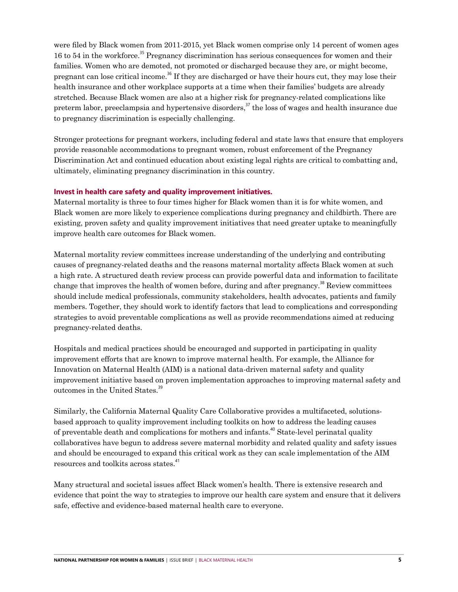were filed by Black women from 2011-2015, yet Black women comprise only 14 percent of women ages 16 to 54 in the workforce.<sup>35</sup> Pregnancy discrimination has serious consequences for women and their families. Women who are demoted, not promoted or discharged because they are, or might become, pregnant can lose critical income.<sup>36</sup> If they are discharged or have their hours cut, they may lose their health insurance and other workplace supports at a time when their families' budgets are already stretched. Because Black women are also at a higher risk for pregnancy-related complications like preterm labor, preeclampsia and hypertensive disorders, $37$  the loss of wages and health insurance due to pregnancy discrimination is especially challenging.

Stronger protections for pregnant workers, including federal and state laws that ensure that employers provide reasonable accommodations to pregnant women, robust enforcement of the Pregnancy Discrimination Act and continued education about existing legal rights are critical to combatting and, ultimately, eliminating pregnancy discrimination in this country.

#### **Invest in health care safety and quality improvement initiatives.**

Maternal mortality is three to four times higher for Black women than it is for white women, and Black women are more likely to experience complications during pregnancy and childbirth. There are existing, proven safety and quality improvement initiatives that need greater uptake to meaningfully improve health care outcomes for Black women.

Maternal mortality review committees increase understanding of the underlying and contributing causes of pregnancy-related deaths and the reasons maternal mortality affects Black women at such a high rate. A structured death review process can provide powerful data and information to facilitate change that improves the health of women before, during and after pregnancy.<sup>38</sup> Review committees should include medical professionals, community stakeholders, health advocates, patients and family members. Together, they should work to identify factors that lead to complications and corresponding strategies to avoid preventable complications as well as provide recommendations aimed at reducing pregnancy-related deaths.

Hospitals and medical practices should be encouraged and supported in participating in quality improvement efforts that are known to improve maternal health. For example, the Alliance for Innovation on Maternal Health (AIM) is a national data-driven maternal safety and quality improvement initiative based on proven implementation approaches to improving maternal safety and outcomes in the United States.<sup>39</sup>

Similarly, the California Maternal Quality Care Collaborative provides a multifaceted, solutionsbased approach to quality improvement including toolkits on how to address the leading causes of preventable death and complications for mothers and infants.<sup>40</sup> State-level perinatal quality collaboratives have begun to address severe maternal morbidity and related quality and safety issues and should be encouraged to expand this critical work as they can scale implementation of the AIM resources and toolkits across states.<sup>41</sup>

Many structural and societal issues affect Black women's health. There is extensive research and evidence that point the way to strategies to improve our health care system and ensure that it delivers safe, effective and evidence-based maternal health care to everyone.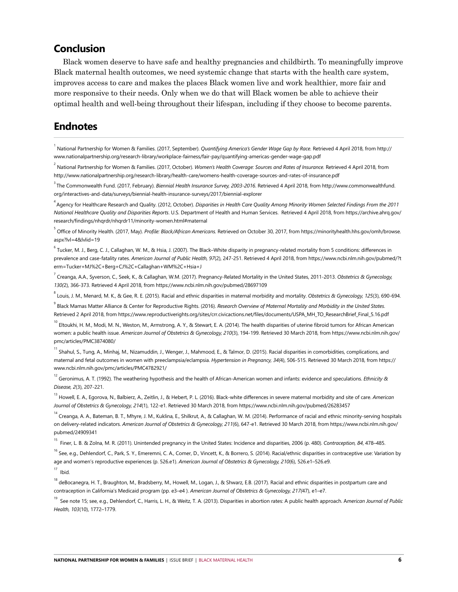### **Conclusion**

Black women deserve to have safe and healthy pregnancies and childbirth. To meaningfully improve Black maternal health outcomes, we need systemic change that starts with the health care system, improves access to care and makes the places Black women live and work healthier, more fair and more responsive to their needs. Only when we do that will Black women be able to achieve their optimal health and well-being throughout their lifespan, including if they choose to become parents.

## **Endnotes**

<sup>1</sup> National Partnership for Women & Families. (2017, September). *Quantifying America's Gender Wage Gap by Race.* Retrieved 4 April 2018, from [http://](http://www.nationalpartnership.org/research-library/workplace-fairness/fair-pay/quantifying-americas-gender-wage-gap.pdf ) [www.nationalpartnership.org/research-library/workplace-fairness/fair-pay/quantifying-americas-gender-wage-gap.pdf](http://www.nationalpartnership.org/research-library/workplace-fairness/fair-pay/quantifying-americas-gender-wage-gap.pdf ) 

2 National Partnership for Women & Families. (2017, October). *Women's Health Coverage: Sources and Rates of Insurance.* Retrieved 4 April 2018, from <http://www.nationalpartnership.org/research-library/health-care/womens-health-coverage-sources-and-rates-of-insurance.pdf>

3 The Commonwealth Fund. (2017, February). *Biennial Health Insurance Survey, 2003-2016*. Retrieved 4 April 2018, from [http://www.commonwealthfund.](http://www.nationalpartnership.org/research-library/health-care/womens-health-coverage-sources-and-rates-of-insurance.pdf) [org/interactives-and-data/surveys/biennial-health-insurance-surveys/2017/biennial-explorer](http://www.nationalpartnership.org/research-library/health-care/womens-health-coverage-sources-and-rates-of-insurance.pdf) 

4 Agency for Healthcare Research and Quality. (2012, October). *Disparities in Health Care Quality Among Minority Women Selected Findings From the 2011 National Healthcare Quality and Disparities Reports*. U.S. Department of Health and Human Services. Retrieved 4 April 2018, from [https://archive.ahrq.gov/](https://archive.ahrq.gov/research/findings/nhqrdr/nhqrdr11/minority-women.html#maternal) [research/findings/nhqrdr/nhqrdr11/minority-women.html#maternal](https://archive.ahrq.gov/research/findings/nhqrdr/nhqrdr11/minority-women.html#maternal) 

<sup>5</sup> Office of Minority Health. (2017, May). *Profile: Black/African Americans*. Retrieved on October 30, 2017, from [https://minorityhealth.hhs.gov/omh/browse.](https://archive.ahrq.gov/research/findings/nhqrdr/nhqrdr11/minority-women.html#maternal) [aspx?lvl=4&lvlid=19](https://archive.ahrq.gov/research/findings/nhqrdr/nhqrdr11/minority-women.html#maternal) 

<sup>6</sup> Tucker, M. J., Berg, C. J., Callaghan, W. M., & Hsia, J. (2007). The Black–White disparity in pregnancy-related mortality from 5 conditions: differences in prevalence and case-fatality rates. *American Journal of Public Health, 97*(2), 247-251. Retrieved 4 April 2018, from [https://www.ncbi.nlm.nih.gov/pubmed/?t](https://www.ncbi.nlm.nih.gov/pubmed/?term=Tucker+MJ%2C+Berg+CJ%2C+Callaghan+WM%2C+Hsia+J) [erm=Tucker+MJ%2C+Berg+CJ%2C+Callaghan+WM%2C+Hsia+J](https://www.ncbi.nlm.nih.gov/pubmed/?term=Tucker+MJ%2C+Berg+CJ%2C+Callaghan+WM%2C+Hsia+J) 

7 Creanga, A.A., Syverson, C., Seek, K., & Callaghan, W.M. (2017). Pregnancy-Related Mortality in the United States, 2011-2013. *Obstetrics & Gynecology, 130(*2), 366-373. Retrieved 4 April 2018, from <https://www.ncbi.nlm.nih.gov/pubmed/28697109>

8 Louis, J. M., Menard, M. K., & Gee, R. E. (2015). Racial and ethnic disparities in maternal morbidity and mortality. *Obstetrics & Gynecology, 125*(3), 690-694.

9 Black Mamas Matter Alliance & Center for Reproductive Rights. (2016). *Research Overview of Maternal Mortality and Morbidity in the United States*. Retrieved 2 April 2018, from [https://www.reproductiverights.org/sites/crr.civicactions.net/files/documents/USPA\\_MH\\_TO\\_ResearchBrief\\_Final\\_5.16.pdf](https://www.reproductiverights.org/sites/crr.civicactions.net/files/documents/USPA_MH_TO_ResearchBrief_Final_5.16.pdf)

<sup>10</sup> Eltoukhi, H. M., Modi, M. N., Weston, M., Armstrong, A. Y., & Stewart, E. A. (2014). The health disparities of uterine fibroid tumors for African American women: a public health issue. *American Journal of Obstetrics & Gynecology, 210*(3), 194-199. Retrieved 30 March 2018, from [https://www.ncbi.nlm.nih.gov/](https://www.ncbi.nlm.nih.gov/pmc/articles/PMC3874080/) [pmc/articles/PMC3874080/](https://www.ncbi.nlm.nih.gov/pmc/articles/PMC3874080/) 

<sup>11</sup> Shahul, S., Tunq, A., Minhaj, M., Nizamuddin, J., Wenger, J., Mahmood, E., & Talmor, D. (2015). Racial disparities in comorbidities, complications, and maternal and fetal outcomes in women with preeclampsia/eclampsia. *Hypertension in Pregnancy, 34(*4), 506-515. Retrieved 30 March 2018, from [https://](https://www.ncbi.nlm.nih.gov/pmc/articles/PMC4782921/) [www.ncbi.nlm.nih.gov/pmc/articles/PMC4782921/](https://www.ncbi.nlm.nih.gov/pmc/articles/PMC4782921/) 

12 Geronimus, A. T. (1992). The weathering hypothesis and the health of African-American women and infants: evidence and speculations. *Ethnicity & Disease, 2*(3), 207-221.

<sup>13</sup> Howell, E. A., Egorova, N., Balbierz, A., Zeitlin, J., & Hebert, P. L. (2016). Black-white differences in severe maternal morbidity and site of care. *American Journal of Obstetrics & Gynecology, 214*(1), 122-e1. Retrieved 30 March 2018, from <https://www.ncbi.nlm.nih.gov/pubmed/26283457>

<sup>14</sup> Creanga, A. A., Bateman, B. T., Mhyre, J. M., Kuklina, E., Shilkrut, A., & Callaghan, W. M. (2014). Performance of racial and ethnic minority-serving hospitals on delivery-related indicators. *American Journal of Obstetrics & Gynecology, 211*(6), 647-e1. Retrieved 30 March 2018, from [https://www.ncbi.nlm.nih.gov/](https://www.ncbi.nlm.nih.gov/pubmed/24909341) [pubmed/24909341](https://www.ncbi.nlm.nih.gov/pubmed/24909341) 

15 Finer, L. B. & Zolna, M. R. (2011). Unintended pregnancy in the United States: Incidence and disparities, 2006 (p. 480). *Contraception, 84*, 478–485.

<sup>16</sup> See, e.g., Dehlendorf, C., Park, S. Y., Emeremni, C. A., Comer, D., Vincett, K., & Borrero, S. (2014). Racial/ethnic disparities in contraceptive use: Variation by age and women's reproductive experiences (p. 526.e1). *American Journal of Obstetrics & Gynecology, 210*(6), 526.e1–526.e9.

 $17$  Ibid.

18 deBocanegra, H. T., Braughton, M., Bradsberry, M., Howell, M., Logan, J., & Shwarz, E.B. (2017). Racial and ethnic disparities in postpartum care and contraception in California's Medicaid program (pp. e3–e4 ). *American Journal of Obstetrics & Gynecology, 217(*47), e1–e7.

19 See note 15; see, e.g., Dehlendorf, C., Harris, L. H., & Weitz, T. A. (2013). Disparities in abortion rates: A public health approach. A*merican Journal of Public Health, 103*(10), 1772–1779.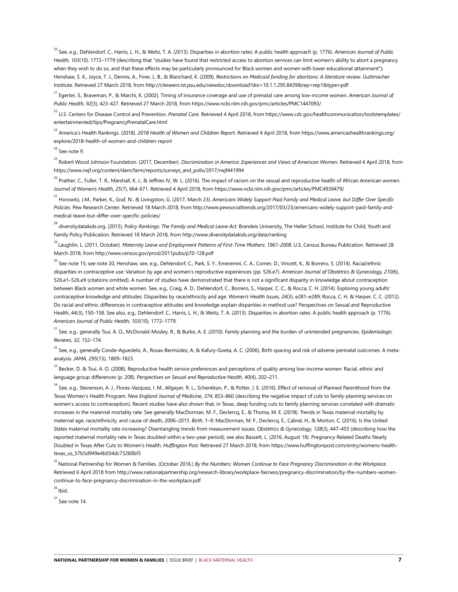20 See, e.g., Dehlendorf, C., Harris, L. H., & Weitz, T. A. (2013). Disparities in abortion rates: A public health approach (p. 1776). *American Journal of Public Health, 103*(10), 1772–1779 (describing that "studies have found that restricted access to abortion services can limit women's ability to abort a pregnancy when they wish to do so, and that these effects may be particularly pronounced for Black women and women with lower educational attainment"); Henshaw, S. K., Joyce, T. J., Dennis, A., Finer, L. B., & Blanchard, K. (2009). *Restrictions on Medicaid funding for abortions: A literature review*. Guttmacher Institute. Retrieved 27 March 2018, from <http://citeseerx.ist.psu.edu/viewdoc/download?doi=10.1.1.295.8439&rep=rep1&type=pdf>

<sup>21</sup> Egerter, S., Braveman, P., & Marchi, K. (2002). Timing of insurance coverage and use of prenatal care among low-income women. *American Journal of Public Health, 92*(3), 423-427. Retrieved 27 March 2018, from<https://www.ncbi.nlm.nih.gov/pmc/articles/PMC1447093/>

22 U.S. Centers for Disease Control and Prevention. *Prenatal Care.* Retrieved 4 April 2018, from [https://www.cdc.gov/healthcommunication/toolstemplates/](https://www.cdc.gov/healthcommunication/toolstemplates/entertainmented/tips/PregnancyPrenatalCare.html) [entertainmented/tips/PregnancyPrenatalCare.html](https://www.cdc.gov/healthcommunication/toolstemplates/entertainmented/tips/PregnancyPrenatalCare.html) 

23 America's Health Rankings. (2018). *2018 Health of Women and Children Report*. Retrieved 4 April 2018, from [https://www.americashealthrankings.org/](https://www.americashealthrankings.org/explore/2018-health-of-women-and-children-report) [explore/2018-health-of-women-and-children-report](https://www.americashealthrankings.org/explore/2018-health-of-women-and-children-report)

 $24$  See note 9.

<sup>25</sup> Robert Wood Johnson Foundation. (2017, December). *Discrimination in America: Experiences and Views of American Women.* Retrieved 4 April 2018, from [https://www.rwjf.org/content/dam/farm/reports/surveys\\_and\\_polls/2017/rwjf441994](https://www.rwjf.org/content/dam/farm/reports/surveys_and_polls/2017/rwjf441994)

<sup>26</sup> Prather, C., Fuller, T. R., Marshall, K. J., & Jeffries IV, W. L. (2016). The impact of racism on the sexual and reproductive health of African American women. J*ournal of Women's Health, 25*(7), 664-671. Retrieved 4 April 2018, from<https://www.ncbi.nlm.nih.gov/pmc/articles/PMC4939479/>

27 Horowitz, J.M., Parker, K., Graf, N., & Livingston, G. (2017, March 23). *Americans Widely Support Paid Family and Medical Leave, but Differ Over Specific Policies.* Pew Research Center. Retrieved 18 March 2018, from [http://www.pewsocialtrends.org/2017/03/23/americans-widely-support-paid-family-and](http://www.pewsocialtrends.org/2017/03/23/americans-widely-support-paid-family-and-medical-leave-but-differ-over-specific-policies/)[medical-leave-but-differ-over-specific-policies/](http://www.pewsocialtrends.org/2017/03/23/americans-widely-support-paid-family-and-medical-leave-but-differ-over-specific-policies/)

28 diversitydatakids.org. (2015). P*olicy Rankings: The Family and Medical Leave Act*. Brandeis University, The Heller School, Institute for Child, Youth and Family Policy Publication. Retrieved 18 March 2018, from <http://www.diversitydatakids.org/data/ranking>

29 Laughlin, L. (2011, October). *Maternity Leave and Employment Patterns of First-Time Mothers: 1961-2008*. U.S. Census Bureau Publication. Retrieved 28 March 2018, from<http://www.census.gov/prod/2011pubs/p70-128.pdf>

<sup>30</sup> See note 15; see note 20, Henshaw; see, e.g., Dehlendorf, C., Park, S. Y., Emeremni, C. A., Comer, D., Vincett, K., & Borrero, S. (2014). Racial/ethnic disparities in contraceptive use: Variation by age and women's reproductive experiences (pp. 526.e7). *American Journal of Obstetrics & Gynecology, 210(*6), 526.e1–526.e9 (citations omitted). A number of studies have demonstrated that there is not a significant disparity in knowledge about contraception between Black women and white women. See, e.g., Craig, A. D., Dehlendorf, C., Borrero, S., Harper, C. C., & Rocca, C. H. (2014). Exploring young adults' contraceptive knowledge and attitudes: Disparities by race/ethnicity and age. *Women's Health Issues, 24*(3), e281–e289; Rocca, C. H. & Harper, C. C. (2012). Do racial and ethnic differences in contraceptive attitudes and knowledge explain disparities in method use? Perspectives on Sexual and Reproductive Health, 44(3), 150–158. See also, e.g., Dehlendorf, C., Harris, L. H., & Weitz, T. A. (2013). Disparities in abortion rates: A public health approach (p. 1776). *American Journal of Public Health, 103*(10), 1772–1779.

31 See, e.g., generally Tsui, A. O., McDonald-Mosley, R., & Burke, A. E. (2010). Family planning and the burden of unintended pregnancies. *Epidemiologic Reviews, 32*, 152–174.

<sup>32</sup> See. e.a., generally Conde-Aquedelo, A., Rosas-Bermúdez, A, & Kafury-Goeta, A. C. (2006). Birth spacing and risk of adverse perinatal outcomes: A metaanalysis. *JAMA, 295*(15), 1809–1823.

<sup>33</sup> Becker, D. & Tsui, A. O. (2008). Reproductive health service preferences and perceptions of quality among low-income women: Racial, ethnic and language group differences (p. 208). *Perspectives on Sexual and Reproductive Health, 40*(4), 202–211.

<sup>34</sup> See, e.q., Stevenson, A. J., Flores-Vazquez, I. M., Allgeyer, R. L., Schenkkan, P., & Potter, J. E. (2016). Effect of removal of Planned Parenthood from the Texas Women's Health Program. *New England Journal of Medicine, 374*, 853–860 (describing the negative impact of cuts to family-planning services on women's access to contraception). Recent studies have also shown that, in Texas, deep funding cuts to family planning services correlated with dramatic increases in the maternal mortality rate. See generally MacDorman, M. F., Declercq, E., & Thoma, M. E. (2018). Trends in Texas maternal mortality by maternal age, race/ethnicity, and cause of death, 2006–2015. *Birth,* 1–9; MacDorman, M. F., Declercq, E., Cabral, H., & Morton, C. (2016). Is the United States maternal mortality rate increasing? Disentangling trends from measurement issues. O*bstetrics & Gynecology, 128*(3), 447–455 (describing how the reported maternal mortality rate in Texas doubled within a two-year period); see also Bassett, L. (2016, August 18). Pregnancy-Related Deaths Nearly Doubled in Texas After Cuts to Women's Health. *Huffington Post.* Retrieved 27 March 2018, from [https://www.huffingtonpost.com/entry/womens-health](https://www.huffingtonpost.com/entry/womens-health-texas_us_57b5d949e4b034dc73260bf3)[texas\\_us\\_57b5d949e4b034dc73260bf3](https://www.huffingtonpost.com/entry/womens-health-texas_us_57b5d949e4b034dc73260bf3)

35 National Partnership for Women & Families. (October 2016.) *By the Numbers: Women Continue to Face Pregnancy Discrimination in the Workplace*. Retrieved 6 April 2018 from [http://www.nationalpartnership.org/research-library/workplace-fairness/pregnancy-discrimination/by-the-numbers-women](http://www.nationalpartnership.org/research-library/workplace-fairness/pregnancy-discrimination/by-the-numbers-women-continue-to-face-pregnancy-discrimination-in-the-workplace.pdf)[continue-to-face-pregnancy-discrimination-in-the-workplace.pdf](http://www.nationalpartnership.org/research-library/workplace-fairness/pregnancy-discrimination/by-the-numbers-women-continue-to-face-pregnancy-discrimination-in-the-workplace.pdf)

<sup>36</sup> Ibid.

 $37$  See note 14.